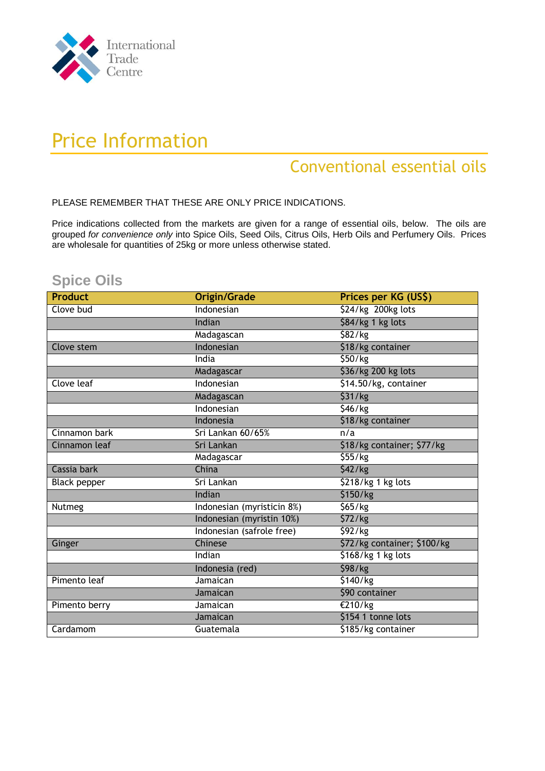

# Price Information

## Conventional essential oils

PLEASE REMEMBER THAT THESE ARE ONLY PRICE INDICATIONS.

Price indications collected from the markets are given for a range of essential oils, below. The oils are grouped *for convenience only* into Spice Oils, Seed Oils, Citrus Oils, Herb Oils and Perfumery Oils. Prices are wholesale for quantities of 25kg or more unless otherwise stated.

### **Spice Oils**

| <b>Product</b>      | Origin/Grade               | Prices per KG (US\$)          |
|---------------------|----------------------------|-------------------------------|
| Clove bud           | Indonesian                 | \$24/kg 200kg lots            |
|                     | Indian                     | \$84/kg 1 kg lots             |
|                     | Madagascan                 | \$82/kg                       |
| Clove stem          | Indonesian                 | \$18/kg container             |
|                     | India                      | \$50/kg                       |
|                     | Madagascar                 | \$36/kg 200 kg lots           |
| Clove leaf          | Indonesian                 | \$14.50/kg, container         |
|                     | Madagascan                 | \$31/kg                       |
|                     | Indonesian                 | \$46/kg                       |
|                     | Indonesia                  | \$18/kg container             |
| Cinnamon bark       | Sri Lankan 60/65%          | n/a                           |
| Cinnamon leaf       | Sri Lankan                 | \$18/kg container; \$77/kg    |
|                     | Madagascar                 | 555/kg                        |
| Cassia bark         | China                      | $\overline{\frac{542}{}}$ /kg |
| <b>Black pepper</b> | Sri Lankan                 | \$218/kg 1 kg lots            |
|                     | Indian                     | \$150/kg                      |
| <b>Nutmeg</b>       | Indonesian (myristicin 8%) | \$65/kg                       |
|                     | Indonesian (myristin 10%)  | \$72/kg                       |
|                     | Indonesian (safrole free)  | \$92/kg                       |
| Ginger              | <b>Chinese</b>             | \$72/kg container; \$100/kg   |
|                     | Indian                     | \$168/kg 1 kg lots            |
|                     | Indonesia (red)            | \$98/kg                       |
| Pimento leaf        | Jamaican                   | $\overline{51}$ 40/kg         |
|                     | Jamaican                   | \$90 container                |
| Pimento berry       | Jamaican                   | €210/kg                       |
|                     | Jamaican                   | \$154 1 tonne lots            |
| Cardamom            | Guatemala                  | \$185/kg container            |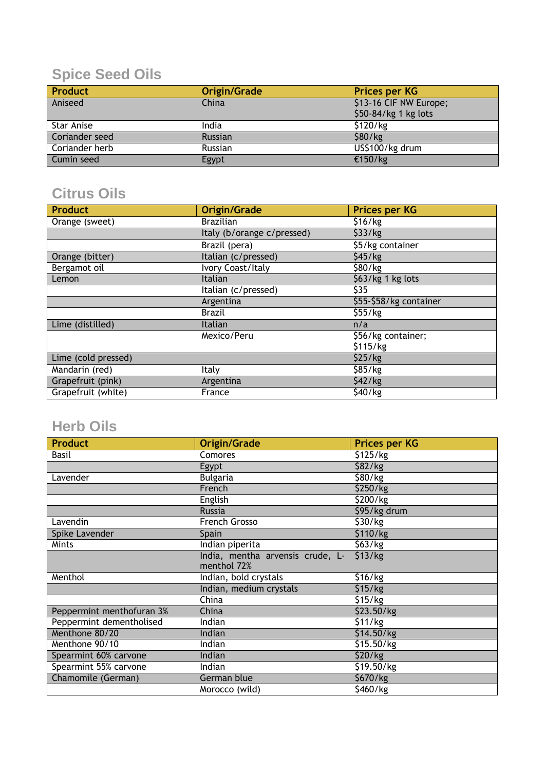## **Spice Seed Oils**

| <b>Product</b> | Origin/Grade   | <b>Prices per KG</b>   |
|----------------|----------------|------------------------|
| Aniseed        | China          | \$13-16 CIF NW Europe; |
|                |                | \$50-84/kg 1 kg lots   |
| Star Anise     | India          | \$120/kg               |
| Coriander seed | Russian        | \$80/kg                |
| Coriander herb | <b>Russian</b> | US\$100/kg drum        |
| Cumin seed     | Egypt          | €150/kg                |

### **Citrus Oils**

| <b>Product</b>      | Origin/Grade               | <b>Prices per KG</b>   |
|---------------------|----------------------------|------------------------|
| Orange (sweet)      | <b>Brazilian</b>           | \$16/kg                |
|                     | Italy (b/orange c/pressed) | \$33/kg                |
|                     | Brazil (pera)              | \$5/kg container       |
| Orange (bitter)     | Italian (c/pressed)        | \$45/kg                |
| Bergamot oil        | <b>Ivory Coast/Italy</b>   | \$80/kg                |
| Lemon               | Italian                    | \$63/kg 1 kg lots      |
|                     | Italian (c/pressed)        | \$35                   |
|                     | Argentina                  | \$55-\$58/kg container |
|                     | <b>Brazil</b>              | \$55/kg                |
| Lime (distilled)    | Italian                    | n/a                    |
|                     | Mexico/Peru                | \$56/kg container;     |
|                     |                            | \$115/kg               |
| Lime (cold pressed) |                            | \$25/kg                |
| Mandarin (red)      | Italy                      | \$85/kg                |
| Grapefruit (pink)   | Argentina                  | \$42/kg                |
| Grapefruit (white)  | France                     | \$40/kg                |

### **Herb Oils**

| <b>Product</b>            | Origin/Grade                     | <b>Prices per KG</b> |
|---------------------------|----------------------------------|----------------------|
| Basil                     | Comores                          | \$125/kg             |
|                           | Egypt                            | \$82/kg              |
| Lavender                  | <b>Bulgaria</b>                  | \$80/kg              |
|                           | French                           | \$250/kg             |
|                           | English                          | \$200/kg             |
|                           | <b>Russia</b>                    | \$95/kg drum         |
| Lavendin                  | French Grosso                    | \$30/kg              |
| Spike Lavender            | Spain                            | \$110/kg             |
| Mints                     | Indian piperita                  | \$63/kg              |
|                           | India, mentha arvensis crude, L- | \$13/kg              |
|                           | menthol 72%                      |                      |
| Menthol                   | Indian, bold crystals            | \$16/kg              |
|                           | Indian, medium crystals          | \$15/kg              |
|                           | China                            | \$15/kg              |
| Peppermint menthofuran 3% | China                            | \$23.50/kg           |
| Peppermint dementholised  | Indian                           | \$11/kg              |
| Menthone 80/20            | Indian                           | \$14.50/kg           |
| Menthone 90/10            | Indian                           | \$15.50/kg           |
| Spearmint 60% carvone     | Indian                           | \$20/kg              |
| Spearmint 55% carvone     | Indian                           | \$19.50/kg           |
| Chamomile (German)        | German blue                      | \$670/kg             |
|                           | Morocco (wild)                   | \$460/kg             |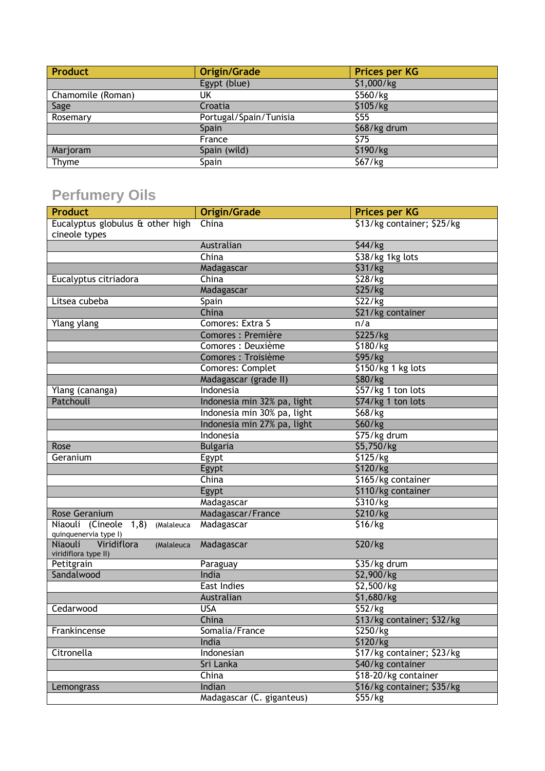| <b>Product</b>    | Origin/Grade           | <b>Prices per KG</b> |
|-------------------|------------------------|----------------------|
|                   | Egypt (blue)           | \$1,000/kg           |
| Chamomile (Roman) | UK                     | \$560/kg             |
| Sage              | Croatia                | \$105/kg             |
| Rosemary          | Portugal/Spain/Tunisia | \$55                 |
|                   | Spain                  | \$68/kg drum         |
|                   | France                 | \$75                 |
| Marjoram          | Spain (wild)           | \$190/kg             |
| Thyme             | Spain                  | \$67/kg              |

## **Perfumery Oils**

| <b>Product</b>                                               | <b>Origin/Grade</b>         | <b>Prices per KG</b>       |
|--------------------------------------------------------------|-----------------------------|----------------------------|
| Eucalyptus globulus & other high<br>cineole types            | China                       | \$13/kg container; \$25/kg |
|                                                              | Australian                  | $\sqrt{544/kg}$            |
|                                                              | China                       | \$38/kg 1kg lots           |
|                                                              | Madagascar                  | \$31/kg                    |
| Eucalyptus citriadora                                        | China                       | \$28/kg                    |
|                                                              | Madagascar                  | \$25/kg                    |
| Litsea cubeba                                                | Spain                       | 522/kg                     |
|                                                              | China                       | \$21/kg container          |
| Ylang ylang                                                  | Comores: Extra S            | n/a                        |
|                                                              | Comores : Première          | \$225/kg                   |
|                                                              | Comores : Deuxième          | \$180/kg                   |
|                                                              | Comores : Troisième         | \$95/kg                    |
|                                                              | Comores: Complet            | \$150/kg 1 kg lots         |
|                                                              | Madagascar (grade II)       | \$80/kg                    |
| Ylang (cananga)                                              | Indonesia                   | \$57/kg 1 ton lots         |
| Patchouli                                                    | Indonesia min 32% pa, light | \$74/kg 1 ton lots         |
|                                                              | Indonesia min 30% pa, light | \$68/kg                    |
|                                                              | Indonesia min 27% pa, light | \$60/kg                    |
|                                                              | Indonesia                   | \$75/kg drum               |
| Rose                                                         | <b>Bulgaria</b>             | \$5,750/kg                 |
| Geranium                                                     | Egypt                       | \$125/kg                   |
|                                                              | Egypt                       | \$120/kg                   |
|                                                              | China                       | \$165/kg container         |
|                                                              | Egypt                       | \$110/kg container         |
|                                                              | Madagascar                  | \$310/kg                   |
| <b>Rose Geranium</b>                                         | Madagascar/France           | \$210/kg                   |
| Niaouli (Cineole 1,8)<br>(Malaleuca<br>quinquenervia type I) | Madagascar                  | \$16/kg                    |
| Viridiflora<br>Niaouli<br>(Malaleuca<br>viridiflora type II) | Madagascar                  | \$20/kg                    |
| Petitgrain                                                   | Paraguay                    | \$35/kg drum               |
| Sandalwood                                                   | India                       | \$2,900/kg                 |
|                                                              | East Indies                 | \$2,500/kg                 |
|                                                              | Australian                  | \$1,680/kg                 |
| Cedarwood                                                    | <b>USA</b>                  | \$52/kg                    |
|                                                              | China                       | \$13/kg container; \$32/kg |
| Frankincense                                                 | Somalia/France              | \$250/kg                   |
|                                                              | India                       | \$120/kg                   |
| Citronella                                                   | Indonesian                  | \$17/kg container; \$23/kg |
|                                                              | Sri Lanka                   | \$40/kg container          |
|                                                              | China                       | \$18-20/kg container       |
| Lemongrass                                                   | Indian                      | \$16/kg container; \$35/kg |
|                                                              | Madagascar (C. giganteus)   | \$55/Kg                    |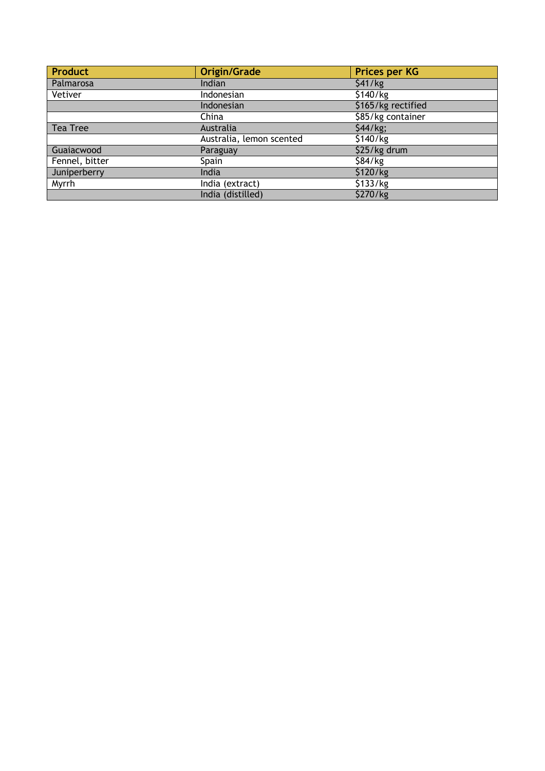| <b>Product</b> | <b>Origin/Grade</b>      | <b>Prices per KG</b> |
|----------------|--------------------------|----------------------|
| Palmarosa      | Indian                   | \$41/kg              |
| Vetiver        | Indonesian               | \$140/kg             |
|                | Indonesian               | \$165/kg rectified   |
|                | China                    | \$85/kg container    |
| Tea Tree       | Australia                | \$44/kg;             |
|                | Australia, lemon scented | \$140/kg             |
| Guaiacwood     | Paraguay                 | \$25/kg drum         |
| Fennel, bitter | Spain                    | \$84/kg              |
| Juniperberry   | India                    | \$120/kg             |
| Myrrh          | India (extract)          | \$133/kg             |
|                | India (distilled)        | \$270/kg             |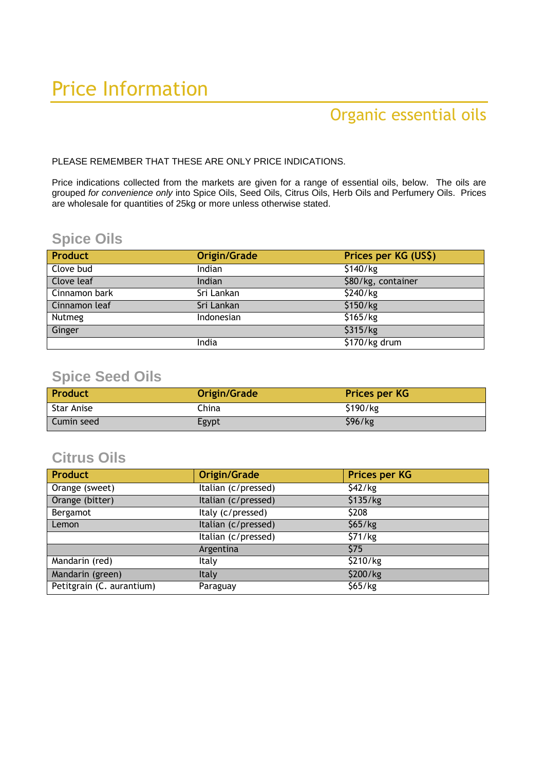# Price Information

## Organic essential oils

PLEASE REMEMBER THAT THESE ARE ONLY PRICE INDICATIONS.

Price indications collected from the markets are given for a range of essential oils, below. The oils are grouped *for convenience only* into Spice Oils, Seed Oils, Citrus Oils, Herb Oils and Perfumery Oils. Prices are wholesale for quantities of 25kg or more unless otherwise stated.

### **Spice Oils**

| <b>Product</b> | Origin/Grade | Prices per KG (US\$) |
|----------------|--------------|----------------------|
| Clove bud      | Indian       | \$140/kg             |
| Clove leaf     | Indian       | \$80/kg, container   |
| Cinnamon bark  | Sri Lankan   | \$240/kg             |
| Cinnamon leaf  | Sri Lankan   | \$150/kg             |
| Nutmeg         | Indonesian   | \$165/kg             |
| Ginger         |              | \$315/kg             |
|                | India        | \$170/kg drum        |

#### **Spice Seed Oils**

| <b>Product</b>    | Origin/Grade | <b>Prices per KG</b> |
|-------------------|--------------|----------------------|
| <b>Star Anise</b> | China        | \$190/kg             |
| Cumin seed        | Egypt        | \$96/kg              |

#### **Citrus Oils**

| <b>Product</b>            | Origin/Grade          | <b>Prices per KG</b> |
|---------------------------|-----------------------|----------------------|
| Orange (sweet)            | Italian $(c/pressed)$ | \$42/kg              |
| Orange (bitter)           | Italian (c/pressed)   | \$135/kg             |
| Bergamot                  | Italy (c/pressed)     | \$208                |
| Lemon                     | Italian (c/pressed)   | \$65/kg              |
|                           | Italian (c/pressed)   | \$71/kg              |
|                           | Argentina             | <b>S75</b>           |
| Mandarin (red)            | <b>Italy</b>          | \$210/kg             |
| Mandarin (green)          | Italy                 | \$200/kg             |
| Petitgrain (C. aurantium) | Paraguay              | \$65/kg              |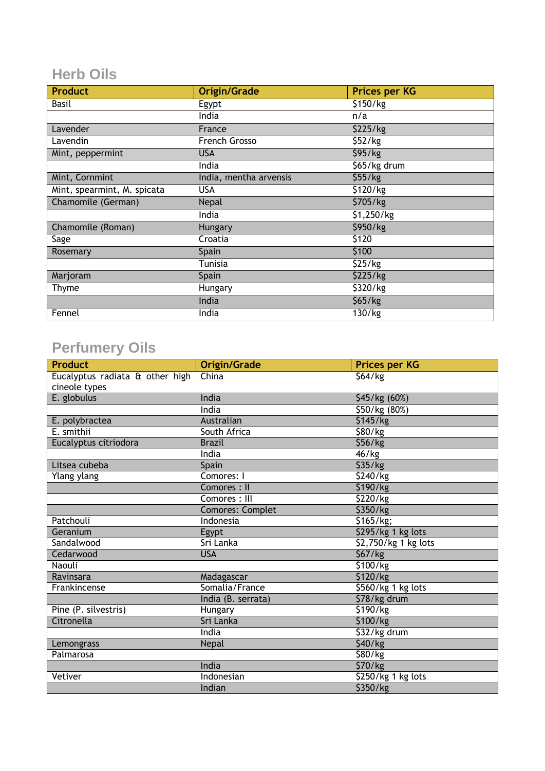### **Herb Oils**

| <b>Product</b>              | <b>Origin/Grade</b>    | <b>Prices per KG</b> |
|-----------------------------|------------------------|----------------------|
| Basil                       | Egypt                  | \$150/kg             |
|                             | India                  | n/a                  |
| Lavender                    | France                 | \$225/kg             |
| Lavendin                    | French Grosso          | \$52/kg              |
| Mint, peppermint            | <b>USA</b>             | \$95/kg              |
|                             | India                  | \$65/kg drum         |
| Mint, Cornmint              | India, mentha arvensis | \$55/Kg              |
| Mint, spearmint, M. spicata | <b>USA</b>             | \$120/kg             |
| Chamomile (German)          | Nepal                  | \$705/kg             |
|                             | India                  | \$1,250/kg           |
| Chamomile (Roman)           | Hungary                | \$950/kg             |
| Sage                        | Croatia                | \$120                |
| Rosemary                    | Spain                  | \$100                |
|                             | Tunisia                | \$25/kg              |
| Marjoram                    | Spain                  | \$225/kg             |
| Thyme                       | Hungary                | \$320/kg             |
|                             | India                  | \$65/kg              |
| Fennel                      | India                  | 130/kg               |

## **Perfumery Oils**

| <b>Product</b>                  | <b>Origin/Grade</b>     | <b>Prices per KG</b>        |
|---------------------------------|-------------------------|-----------------------------|
| Eucalyptus radiata & other high | China                   | \$64/kg                     |
| cineole types                   |                         |                             |
| E. globulus                     | India                   | \$45/kg (60%)               |
|                                 | India                   | \$50/kg (80%)               |
| E. polybractea                  | Australian              | \$145/kg                    |
| E. smithii                      | South Africa            | \$80/kg                     |
| Eucalyptus citriodora           | <b>Brazil</b>           | \$56/kg                     |
|                                 | India                   | $\overline{46}$ /kg         |
| Litsea cubeba                   | Spain                   | \$35/kg                     |
| Ylang ylang                     | Comores: I              | \$240/kg                    |
|                                 | Comores: II             | \$190/kg                    |
|                                 | Comores: III            | \$220/kg                    |
|                                 | <b>Comores: Complet</b> | \$350/kg                    |
| Patchouli                       | Indonesia               | \$165/kg;                   |
| Geranium                        | Egypt                   | \$295/kg 1 kg lots          |
| Sandalwood                      | Sri Lanka               | \$2,750/kg 1 kg lots        |
| Cedarwood                       | <b>USA</b>              | \$67/kg                     |
| Naouli                          |                         | \$100/kg                    |
| Ravinsara                       | Madagascar              | \$120/kg                    |
| Frankincense                    | Somalia/France          | \$560/kg 1 kg lots          |
|                                 | India (B. serrata)      | \$78/kg drum                |
| Pine (P. silvestris)            | Hungary                 | \$190/kg                    |
| Citronella                      | Sri Lanka               | \$100/kg                    |
|                                 | India                   | \$32/kg drum                |
| Lemongrass                      | Nepal                   | $\overline{\frac{540}{kg}}$ |
| Palmarosa                       |                         | $\overline{$80}$ /kg        |
|                                 | India                   | \$70/kg                     |
| Vetiver                         | Indonesian              | \$250/kg 1 kg lots          |
|                                 | Indian                  | \$350/kg                    |